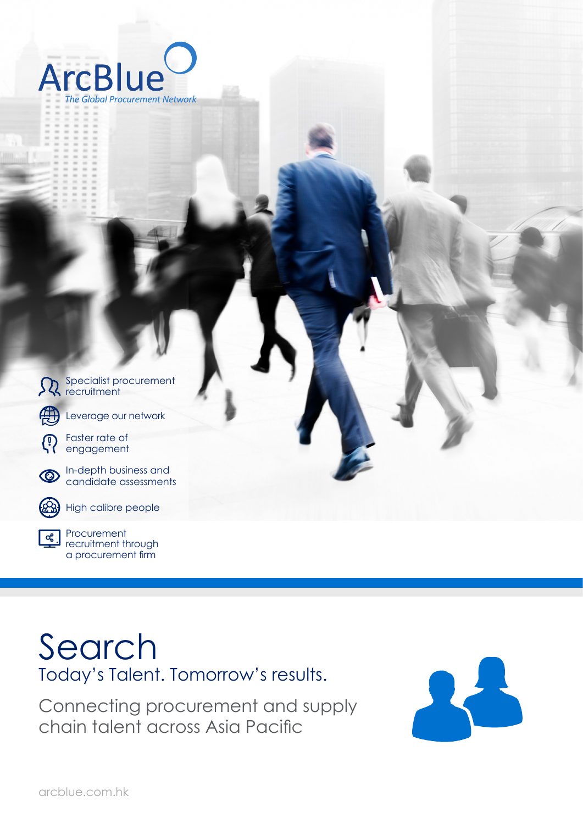

| $\sum_{\text{recuilment}}$                                             |  |  |  |
|------------------------------------------------------------------------|--|--|--|
| Leverage our network                                                   |  |  |  |
| Faster rate of<br>engagement<br>$\bigcirc$                             |  |  |  |
| In-depth business and<br>candidate assessments<br>$\circledcirc$       |  |  |  |
| High calibre people<br>$\circledR$                                     |  |  |  |
| Procurement<br><u>ြင့</u><br>recruitment through<br>a procurement firm |  |  |  |

## Search Today's Talent. Tomorrow's results.

Connecting procurement and supply chain talent across Asia Pacific